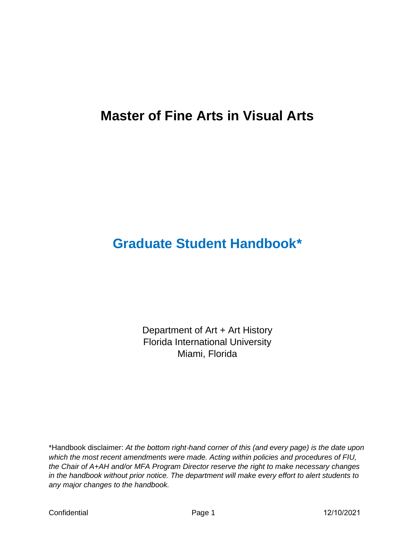# **Master of Fine Arts in Visual Arts**

# **Graduate Student Handbook\***

Department of Art + Art History Florida International University Miami, Florida

\*Handbook disclaimer: *At the bottom right*‑*hand corner of this (and every page) is the date upon which the most recent amendments were made. Acting within policies and procedures of FIU, the Chair of A+AH and/or MFA Program Director reserve the right to make necessary changes in the handbook without prior notice. The department will make every effort to alert students to any major changes to the handbook.*

Confidential **Confidential** Page 1 2/10/2021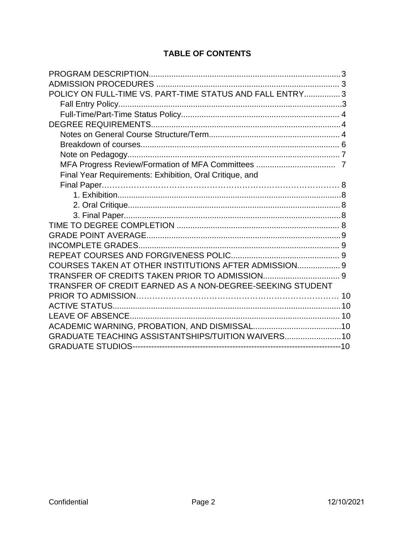# **TABLE OF CONTENTS**

| POLICY ON FULL-TIME VS. PART-TIME STATUS AND FALL ENTRY 3 |  |
|-----------------------------------------------------------|--|
|                                                           |  |
|                                                           |  |
|                                                           |  |
|                                                           |  |
|                                                           |  |
|                                                           |  |
|                                                           |  |
|                                                           |  |
| Final Year Requirements: Exhibition, Oral Critique, and   |  |
|                                                           |  |
|                                                           |  |
|                                                           |  |
|                                                           |  |
|                                                           |  |
|                                                           |  |
|                                                           |  |
|                                                           |  |
| COURSES TAKEN AT OTHER INSTITUTIONS AFTER ADMISSION 9     |  |
|                                                           |  |
| TRANSFER OF CREDIT EARNED AS A NON-DEGREE-SEEKING STUDENT |  |
|                                                           |  |
|                                                           |  |
|                                                           |  |
|                                                           |  |
| GRADUATE TEACHING ASSISTANTSHIPS/TUITION WAIVERS 10       |  |
|                                                           |  |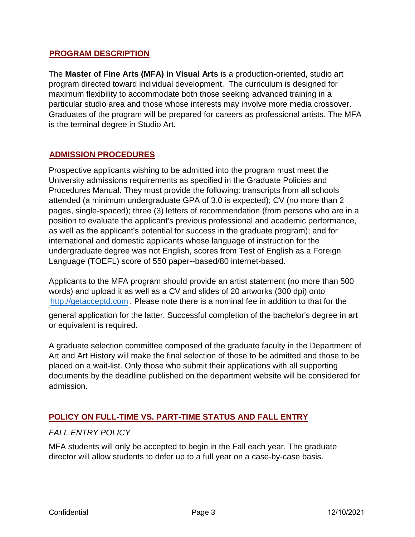#### <sup>U</sup>**PROGRAM DESCRIPTION**

The **Master of Fine Arts (MFA) in Visual Arts** is a production-oriented, studio art program directed toward individual development. The curriculum is designed for maximum flexibility to accommodate both those seeking advanced training in a particular studio area and those whose interests may involve more media crossover. Graduates of the program will be prepared for careers as professional artists. The MFA is the terminal degree in Studio Art.

### <sup>U</sup>**ADMISSION PROCEDURES**

Prospective applicants wishing to be admitted into the program must meet the University admissions requirements as specified in the Graduate Policies and Procedures Manual. They must provide the following: transcripts from all schools attended (a minimum undergraduate GPA of 3.0 is expected); CV (no more than 2 pages, single-spaced); three (3) letters of recommendation (from persons who are in a position to evaluate the applicant's previous professional and academic performance, as well as the applicant's potential for success in the graduate program); and for international and domestic applicants whose language of instruction for the undergraduate degree was not English, scores from Test of English as a Foreign Language (TOEFL) score of 550 paper--based/80 internet-based.

Applicants to the MFA program should provide an artist statement (no more than 500 words) and upload it as well as a CV and slides of 20 artworks (300 dpi) onto [http://getacceptd.com](http://getacceptd.com/) . Please note there is a nominal fee in addition to that for the

general application for the latter. Successful completion of the bachelor's degree in art or equivalent is required.

A graduate selection committee composed of the graduate faculty in the Department of Art and Art History will make the final selection of those to be admitted and those to be placed on a wait-list. Only those who submit their applications with all supporting documents by the deadline published on the department website will be considered for admission.

### **POLICY ON FULL-TIME VS. PART-TIME STATUS AND FALL ENTRY**

#### *FALL ENTRY POLICY*

 $\overline{1}$  Tu U31TU U31TU U31TU U31TU U31TU U31TU U31TU U31TU U31TU U31TU U31TU U31TU U31TU U31TU U31TU U31TU U31TU U31TU U31TU U31TU U31TU U31TU U31TU U31TU U31TU U31TU U31TU U31TU U31TU U31TU U31TU U31TU U31TU U31TU U31TU

MFA students will only be accepted to begin in the Fall each year. The graduate director will allow students to defer up to a full year on a case-by-case basis.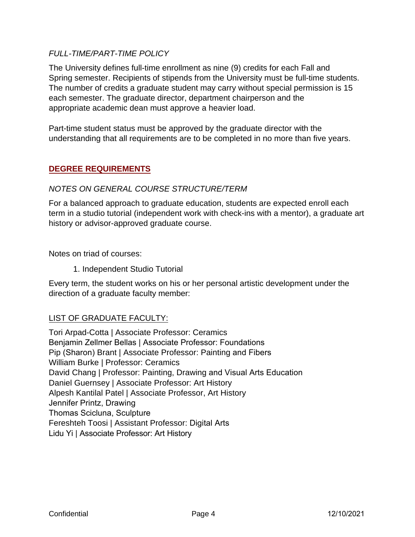#### *FULL-TIME/PART-TIME POLICY*

The University defines full-time enrollment as nine (9) credits for each Fall and Spring semester. Recipients of stipends from the University must be full-time students. The number of credits a graduate student may carry without special permission is 15 each semester. The graduate director, department chairperson and the appropriate academic dean must approve a heavier load.

Part-time student status must be approved by the graduate director with the understanding that all requirements are to be completed in no more than five years.

#### **DEGREE REQUIREMENTS**

#### *NOTES ON GENERAL COURSE STRUCTURE/TERM*

For a balanced approach to graduate education, students are expected enroll each term in a studio tutorial (independent work with check-ins with a mentor), a graduate art history or advisor-approved graduate course.

Notes on triad of courses:

1. Independent Studio Tutorial

Every term, the student works on his or her personal artistic development under the direction of a graduate faculty member:

### LIST OF GRADUATE FACULTY:

Tori Arpad-Cotta | Associate Professor: Ceramics Benjamin Zellmer Bellas | Associate Professor: Foundations Pip (Sharon) Brant | Associate Professor: Painting and Fibers William Burke | Professor: Ceramics David Chang | Professor: Painting, Drawing and Visual Arts Education Daniel Guernsey | Associate Professor: Art History Alpesh Kantilal Patel | Associate Professor, Art History Jennifer Printz, Drawing Thomas Scicluna, Sculpture Fereshteh Toosi | Assistant Professor: Digital Arts Lidu Yi | Associate Professor: Art History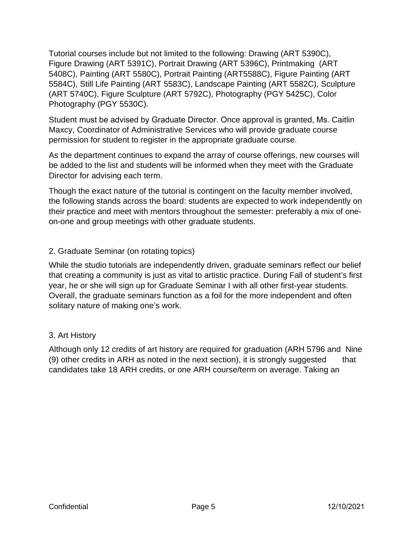Tutorial courses include but not limited to the following: Drawing (ART 5390C), Figure Drawing (ART 5391C), Portrait Drawing (ART 5396C), Printmaking (ART 5408C), Painting (ART 5580C), Portrait Painting (ART5588C), Figure Painting (ART 5584C), Still Life Painting (ART 5583C), Landscape Painting (ART 5582C), Sculpture (ART 5740C), Figure Sculpture (ART 5792C), Photography (PGY 5425C), Color Photography (PGY 5530C).

Student must be advised by Graduate Director. Once approval is granted, Ms. Caitlin Maxcy, Coordinator of Administrative Services who will provide graduate course permission for student to register in the appropriate graduate course.

As the department continues to expand the array of course offerings, new courses will be added to the list and students will be informed when they meet with the Graduate Director for advising each term.

Though the exact nature of the tutorial is contingent on the faculty member involved, the following stands across the board: students are expected to work independently on their practice and meet with mentors throughout the semester: preferably a mix of oneon-one and group meetings with other graduate students.

# 2. Graduate Seminar (on rotating topics)

While the studio tutorials are independently driven, graduate seminars reflect our belief that creating a community is just as vital to artistic practice. During Fall of student's first year, he or she will sign up for Graduate Seminar I with all other first-year students. Overall, the graduate seminars function as a foil for the more independent and often solitary nature of making one's work.

### 3. Art History

Although only 12 credits of art history are required for graduation (ARH 5796 and Nine (9) other credits in ARH as noted in the next section), it is strongly suggested that candidates take 18 ARH credits, or one ARH course/term on average. Taking an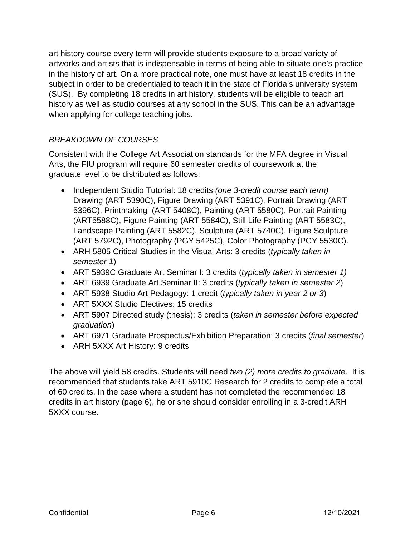art history course every term will provide students exposure to a broad variety of artworks and artists that is indispensable in terms of being able to situate one's practice in the history of art. On a more practical note, one must have at least 18 credits in the subject in order to be credentialed to teach it in the state of Florida's university system (SUS). By completing 18 credits in art history, students will be eligible to teach art history as well as studio courses at any school in the SUS. This can be an advantage when applying for college teaching jobs.

# *BREAKDOWN OF COURSES*

Consistent with the College Art Association standards for the MFA degree in Visual Arts, the FIU program will require 60 semester credits of coursework at the graduate level to be distributed as follows:

- Independent Studio Tutorial: 18 credits *(one 3-credit course each term)* Drawing (ART 5390C), Figure Drawing (ART 5391C), Portrait Drawing (ART 5396C), Printmaking (ART 5408C), Painting (ART 5580C), Portrait Painting (ART5588C), Figure Painting (ART 5584C), Still Life Painting (ART 5583C), Landscape Painting (ART 5582C), Sculpture (ART 5740C), Figure Sculpture (ART 5792C), Photography (PGY 5425C), Color Photography (PGY 5530C).
- ARH 5805 Critical Studies in the Visual Arts: 3 credits (*typically taken in semester 1*)
- ART 5939C Graduate Art Seminar I: 3 credits (*typically taken in semester 1)*
- ART 6939 Graduate Art Seminar II: 3 credits (*typically taken in semester 2*)
- ART 5938 Studio Art Pedagogy: 1 credit (*typically taken in year 2 or 3*)
- ART 5XXX Studio Electives: 15 credits
- ART 5907 Directed study (thesis): 3 credits (*taken in semester before expected graduation*)
- ART 6971 Graduate Prospectus/Exhibition Preparation: 3 credits (*final semester*)
- ARH 5XXX Art History: 9 credits

The above will yield 58 credits. Students will need *two (2) more credits to graduate*. It is recommended that students take ART 5910C Research for 2 credits to complete a total of 60 credits. In the case where a student has not completed the recommended 18 credits in art history (page 6), he or she should consider enrolling in a 3-credit ARH 5XXX course.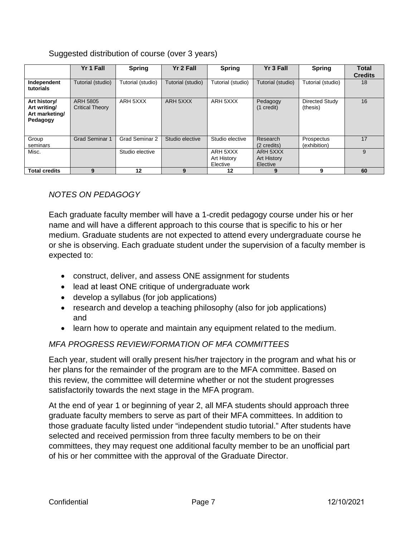# Suggested distribution of course (over 3 years)

|                                                            | Yr 1 Fall                          | <b>Spring</b>     | Yr 2 Fall         | <b>Spring</b>                              | Yr 3 Fall                                  | <b>Spring</b>              | <b>Total</b><br><b>Credits</b> |
|------------------------------------------------------------|------------------------------------|-------------------|-------------------|--------------------------------------------|--------------------------------------------|----------------------------|--------------------------------|
| Independent<br>tutorials                                   | Tutorial (studio)                  | Tutorial (studio) | Tutorial (studio) | Tutorial (studio)                          | Tutorial (studio)                          | Tutorial (studio)          | 18                             |
| Art history/<br>Art writing/<br>Art marketing/<br>Pedagogy | ARH 5805<br><b>Critical Theory</b> | ARH 5XXX          | ARH 5XXX          | ARH 5XXX                                   | Pedagogy<br>$(1 \text{ credit})$           | Directed Study<br>(thesis) | 16                             |
| Group<br>seminars                                          | <b>Grad Seminar 1</b>              | Grad Seminar 2    | Studio elective   | Studio elective                            | Research<br>(2 credits)                    | Prospectus<br>(exhibition) | 17                             |
| Misc.                                                      |                                    | Studio elective   |                   | ARH 5XXX<br><b>Art History</b><br>Elective | ARH 5XXX<br><b>Art History</b><br>Elective |                            | 9                              |
| <b>Total credits</b>                                       | 9                                  | 12                | 9                 | 12                                         | 9                                          | 9                          | 60                             |

# *NOTES ON PEDAGOGY*

Each graduate faculty member will have a 1-credit pedagogy course under his or her name and will have a different approach to this course that is specific to his or her medium. Graduate students are not expected to attend every undergraduate course he or she is observing. Each graduate student under the supervision of a faculty member is expected to:

- construct, deliver, and assess ONE assignment for students
- lead at least ONE critique of undergraduate work
- develop a syllabus (for job applications)
- research and develop a teaching philosophy (also for job applications) and
- learn how to operate and maintain any equipment related to the medium.

# *MFA PROGRESS REVIEW/FORMATION OF MFA COMMITTEES*

Each year, student will orally present his/her trajectory in the program and what his or her plans for the remainder of the program are to the MFA committee. Based on this review, the committee will determine whether or not the student progresses satisfactorily towards the next stage in the MFA program.

At the end of year 1 or beginning of year 2, all MFA students should approach three graduate faculty members to serve as part of their MFA committees. In addition to those graduate faculty listed under "independent studio tutorial." After students have selected and received permission from three faculty members to be on their committees, they may request one additional faculty member to be an unofficial part of his or her committee with the approval of the Graduate Director.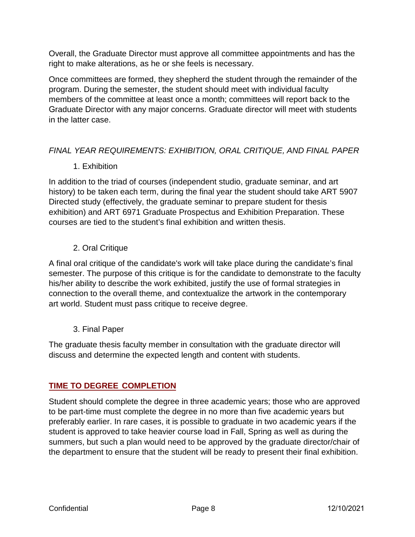#### PROGRAM DESCRIPTION

The Master of Fine Arts (MFA) in Visual Arts is a production riented, studio art program directed toward individual developmenthe curriculum is designed for maximum flexibility to accommodate both those seeking advanced training in a particular studio area and those whose terests may involve more media crossover. Graduates of the program wilbe prepared for careers as professional artists. THAFA is the terminal degree in Studio Art.

#### **ADMISSION PROCEDURES**

Prospective applicants wishing to be admitted into the programs time et he University admission squirements as specified ime Graduate Policies and Procedures Manual. They must povide the following ranscripts from all schools attended (a minimum undergraduate GPA of 03s expected); O (no more than 2 pages, single-spaced); hree (3) letters of ecommendation (frompersons who are in a position to evaluate the applicant's previous professional and academic performance, as well as  $W \times S$  S O L F D success in the extended the reprogram); and for interrational and domestic applicants whose language of instruction for the undergraduate degree was not English, scores from Test of English as a Foreign Language (TOEFL) score of 550 paperbased/80 internet-bsed.

Applicantso the MFA program should prode an artist statement (no more than 500) words) and upload it sawell as a CV and slides of 20 artworks (300 dponto http://getacceptd.comPlease note there is a nominal ete in addition to that for he

general application for the latteSuccessful ompletion 6 the badelor's degee in art or equivalent is required.

A graduate selection committee apposed of he graduate faculty in the Department 6 Art and Art History will make he final selection of those to be admitted and theoto be placed on a waitlist. Only hose who submit their aplications with all supporting documents by the deadline published or the department website will be considerefor admission.

### POLICY ON FULL-TIME VS. PART-TIME STATUS AND FALL ENTRY

#### **FALL ENTRY POLICY**

MFA students will only be accepted to begin in the Ealth year. The graduate directorwill allow students to defer up to a full year on a casee ase basis.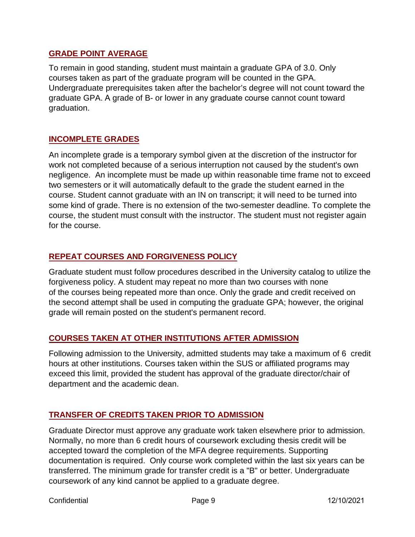#### **GRADE POINT AVERAGE**

To remain in good standing, student must maintain a graduate GPA of 3.0. Only courses taken as part of the graduate program will be counted in the GPA. Undergraduate prerequisites taken after the bachelor's degree will not count toward the graduate GPA. A grade of B- or lower in any graduate course cannot count toward graduation.

# **INCOMPLETE GRADES**

An incomplete grade is a temporary symbol given at the discretion of the instructor for work not completed because of a serious interruption not caused by the student's own negligence. An incomplete must be made up within reasonable time frame not to exceed two semesters or it will automatically default to the grade the student earned in the course. Student cannot graduate with an IN on transcript; it will need to be turned into some kind of grade. There is no extension of the two-semester deadline. To complete the course, the student must consult with the instructor. The student must not register again for the course.

# **REPEAT COURSES AND FORGIVENESS POLICY**

Graduate student must follow procedures described in the University catalog to utilize the forgiveness policy. A student may repeat no more than two courses with none of the courses being repeated more than once. Only the grade and credit received on the second attempt shall be used in computing the graduate GPA; however, the original grade will remain posted on the student's permanent record.

### **COURSES TAKEN AT OTHER INSTITUTIONS AFTER ADMISSION**

Following admission to the University, admitted students may take a maximum of 6 credit hours at other institutions. Courses taken within the SUS or affiliated programs may exceed this limit, provided the student has approval of the graduate director/chair of department and the academic dean.

### **TRANSFER OF CREDITS TAKEN PRIOR TO ADMISSION**

Graduate Director must approve any graduate work taken elsewhere prior to admission. Normally, no more than 6 credit hours of coursework excluding thesis credit will be accepted toward the completion of the MFA degree requirements. Supporting documentation is required. Only course work completed within the last six years can be transferred. The minimum grade for transfer credit is a "B" or better. Undergraduate coursework of any kind cannot be applied to a graduate degree.

Confidential Page 9 12/10/2021